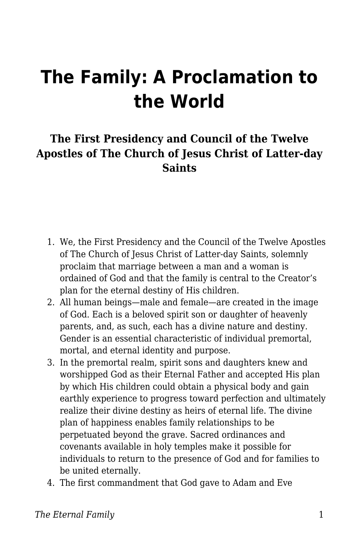## **The Family: A Proclamation to the World**

## **The First Presidency and Council of the Twelve Apostles of The Church of Jesus Christ of Latter-day Saints**

- 1. We, the First Presidency and the Council of the Twelve Apostles of The Church of Jesus Christ of Latter-day Saints, solemnly proclaim that marriage between a man and a woman is ordained of God and that the family is central to the Creator's plan for the eternal destiny of His children.
- 2. All human beings—male and female—are created in the image of God. Each is a beloved spirit son or daughter of heavenly parents, and, as such, each has a divine nature and destiny. Gender is an essential characteristic of individual premortal, mortal, and eternal identity and purpose.
- 3. In the premortal realm, spirit sons and daughters knew and worshipped God as their Eternal Father and accepted His plan by which His children could obtain a physical body and gain earthly experience to progress toward perfection and ultimately realize their divine destiny as heirs of eternal life. The divine plan of happiness enables family relationships to be perpetuated beyond the grave. Sacred ordinances and covenants available in holy temples make it possible for individuals to return to the presence of God and for families to be united eternally.
- 4. The first commandment that God gave to Adam and Eve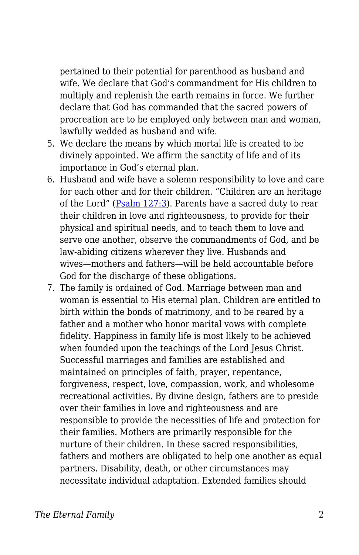pertained to their potential for parenthood as husband and wife. We declare that God's commandment for His children to multiply and replenish the earth remains in force. We further declare that God has commanded that the sacred powers of procreation are to be employed only between man and woman, lawfully wedded as husband and wife.

- 5. We declare the means by which mortal life is created to be divinely appointed. We affirm the sanctity of life and of its importance in God's eternal plan.
- 6. Husband and wife have a solemn responsibility to love and care for each other and for their children. "Children are an heritage of the Lord" ([Psalm 127:3\)](https://www.churchofjesuschrist.org/study/scriptures/ot/ps/127.3?lang=eng#p3). Parents have a sacred duty to rear their children in love and righteousness, to provide for their physical and spiritual needs, and to teach them to love and serve one another, observe the commandments of God, and be law-abiding citizens wherever they live. Husbands and wives—mothers and fathers—will be held accountable before God for the discharge of these obligations.
- 7. The family is ordained of God. Marriage between man and woman is essential to His eternal plan. Children are entitled to birth within the bonds of matrimony, and to be reared by a father and a mother who honor marital vows with complete fidelity. Happiness in family life is most likely to be achieved when founded upon the teachings of the Lord Jesus Christ. Successful marriages and families are established and maintained on principles of faith, prayer, repentance, forgiveness, respect, love, compassion, work, and wholesome recreational activities. By divine design, fathers are to preside over their families in love and righteousness and are responsible to provide the necessities of life and protection for their families. Mothers are primarily responsible for the nurture of their children. In these sacred responsibilities, fathers and mothers are obligated to help one another as equal partners. Disability, death, or other circumstances may necessitate individual adaptation. Extended families should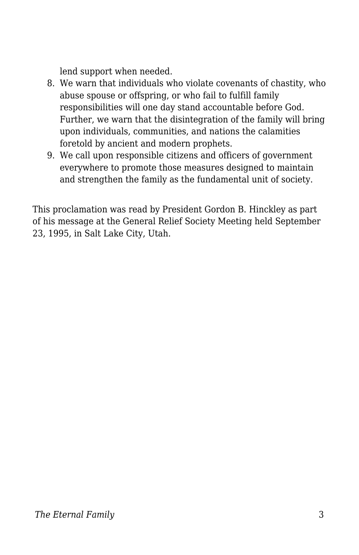lend support when needed.

- 8. We warn that individuals who violate covenants of chastity, who abuse spouse or offspring, or who fail to fulfill family responsibilities will one day stand accountable before God. Further, we warn that the disintegration of the family will bring upon individuals, communities, and nations the calamities foretold by ancient and modern prophets.
- 9. We call upon responsible citizens and officers of government everywhere to promote those measures designed to maintain and strengthen the family as the fundamental unit of society.

This proclamation was read by President Gordon B. Hinckley as part of his message at the General Relief Society Meeting held September 23, 1995, in Salt Lake City, Utah.